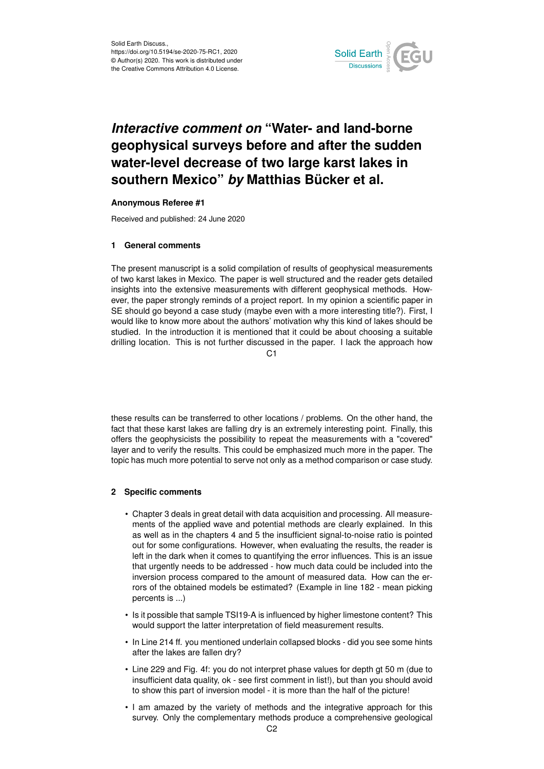

# *Interactive comment on* **"Water- and land-borne geophysical surveys before and after the sudden water-level decrease of two large karst lakes in southern Mexico"** *by* **Matthias Bücker et al.**

### **Anonymous Referee #1**

Received and published: 24 June 2020

### **1 General comments**

The present manuscript is a solid compilation of results of geophysical measurements of two karst lakes in Mexico. The paper is well structured and the reader gets detailed insights into the extensive measurements with different geophysical methods. However, the paper strongly reminds of a project report. In my opinion a scientific paper in SE should go beyond a case study (maybe even with a more interesting title?). First, I would like to know more about the authors' motivation why this kind of lakes should be studied. In the introduction it is mentioned that it could be about choosing a suitable drilling location. This is not further discussed in the paper. I lack the approach how

C1

these results can be transferred to other locations / problems. On the other hand, the fact that these karst lakes are falling dry is an extremely interesting point. Finally, this offers the geophysicists the possibility to repeat the measurements with a "covered" layer and to verify the results. This could be emphasized much more in the paper. The topic has much more potential to serve not only as a method comparison or case study.

### **2 Specific comments**

- Chapter 3 deals in great detail with data acquisition and processing. All measurements of the applied wave and potential methods are clearly explained. In this as well as in the chapters 4 and 5 the insufficient signal-to-noise ratio is pointed out for some configurations. However, when evaluating the results, the reader is left in the dark when it comes to quantifying the error influences. This is an issue that urgently needs to be addressed - how much data could be included into the inversion process compared to the amount of measured data. How can the errors of the obtained models be estimated? (Example in line 182 - mean picking percents is ...)
- Is it possible that sample TSI19-A is influenced by higher limestone content? This would support the latter interpretation of field measurement results.
- In Line 214 ff. you mentioned underlain collapsed blocks did you see some hints after the lakes are fallen dry?
- Line 229 and Fig. 4f: you do not interpret phase values for depth gt 50 m (due to insufficient data quality, ok - see first comment in list!), but than you should avoid to show this part of inversion model - it is more than the half of the picture!
- I am amazed by the variety of methods and the integrative approach for this survey. Only the complementary methods produce a comprehensive geological